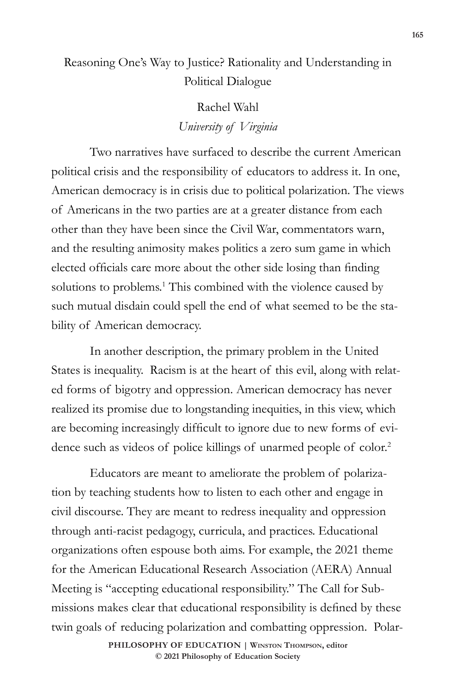## Reasoning One's Way to Justice? Rationality and Understanding in Political Dialogue

# Rachel Wahl *University of Virginia*

Two narratives have surfaced to describe the current American political crisis and the responsibility of educators to address it. In one, American democracy is in crisis due to political polarization. The views of Americans in the two parties are at a greater distance from each other than they have been since the Civil War, commentators warn, and the resulting animosity makes politics a zero sum game in which elected officials care more about the other side losing than finding solutions to problems.<sup>1</sup> This combined with the violence caused by such mutual disdain could spell the end of what seemed to be the stability of American democracy.

In another description, the primary problem in the United States is inequality. Racism is at the heart of this evil, along with related forms of bigotry and oppression. American democracy has never realized its promise due to longstanding inequities, in this view, which are becoming increasingly difficult to ignore due to new forms of evidence such as videos of police killings of unarmed people of color.<sup>2</sup>

Educators are meant to ameliorate the problem of polarization by teaching students how to listen to each other and engage in civil discourse. They are meant to redress inequality and oppression through anti-racist pedagogy, curricula, and practices. Educational organizations often espouse both aims. For example, the 2021 theme for the American Educational Research Association (AERA) Annual Meeting is "accepting educational responsibility." The Call for Submissions makes clear that educational responsibility is defined by these twin goals of reducing polarization and combatting oppression. Polar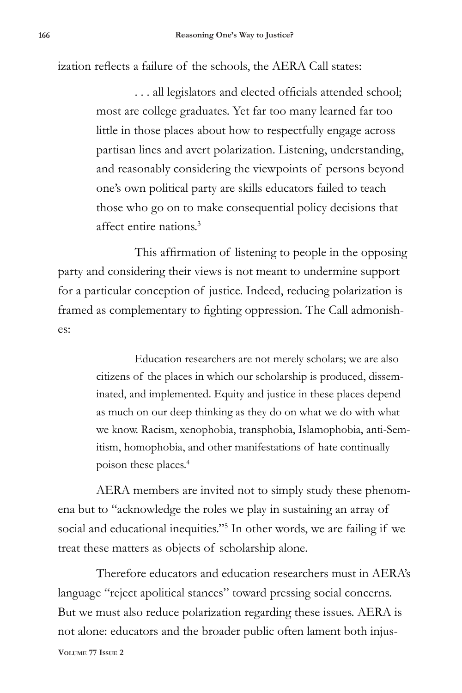ization reflects a failure of the schools, the AERA Call states:

. . . all legislators and elected officials attended school; most are college graduates. Yet far too many learned far too little in those places about how to respectfully engage across partisan lines and avert polarization. Listening, understanding, and reasonably considering the viewpoints of persons beyond one's own political party are skills educators failed to teach those who go on to make consequential policy decisions that affect entire nations<sup>3</sup>

This affirmation of listening to people in the opposing party and considering their views is not meant to undermine support for a particular conception of justice. Indeed, reducing polarization is framed as complementary to fighting oppression. The Call admonishes:

> Education researchers are not merely scholars; we are also citizens of the places in which our scholarship is produced, disseminated, and implemented. Equity and justice in these places depend as much on our deep thinking as they do on what we do with what we know. Racism, xenophobia, transphobia, Islamophobia, anti-Semitism, homophobia, and other manifestations of hate continually poison these places.4

AERA members are invited not to simply study these phenomena but to "acknowledge the roles we play in sustaining an array of social and educational inequities."<sup>5</sup> In other words, we are failing if we treat these matters as objects of scholarship alone.

**Volume 77 Issue 2** Therefore educators and education researchers must in AERA's language "reject apolitical stances" toward pressing social concerns. But we must also reduce polarization regarding these issues. AERA is not alone: educators and the broader public often lament both injus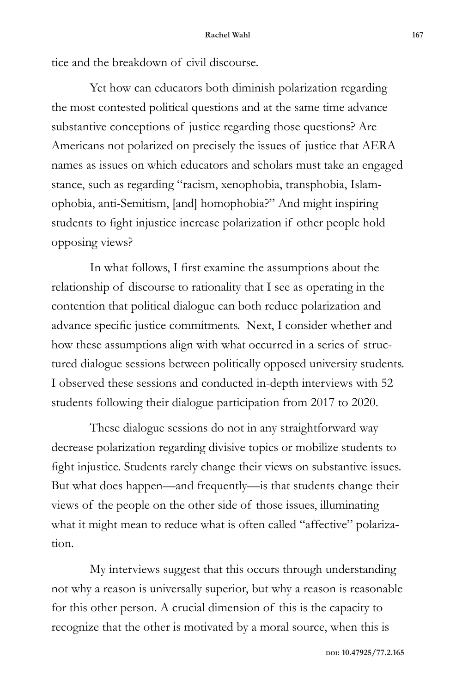tice and the breakdown of civil discourse.

Yet how can educators both diminish polarization regarding the most contested political questions and at the same time advance substantive conceptions of justice regarding those questions? Are Americans not polarized on precisely the issues of justice that AERA names as issues on which educators and scholars must take an engaged stance, such as regarding "racism, xenophobia, transphobia, Islamophobia, anti-Semitism, [and] homophobia?" And might inspiring students to fight injustice increase polarization if other people hold opposing views?

In what follows, I first examine the assumptions about the relationship of discourse to rationality that I see as operating in the contention that political dialogue can both reduce polarization and advance specific justice commitments. Next, I consider whether and how these assumptions align with what occurred in a series of structured dialogue sessions between politically opposed university students. I observed these sessions and conducted in-depth interviews with 52 students following their dialogue participation from 2017 to 2020.

These dialogue sessions do not in any straightforward way decrease polarization regarding divisive topics or mobilize students to fight injustice. Students rarely change their views on substantive issues. But what does happen—and frequently—is that students change their views of the people on the other side of those issues, illuminating what it might mean to reduce what is often called "affective" polarization.

My interviews suggest that this occurs through understanding not why a reason is universally superior, but why a reason is reasonable for this other person. A crucial dimension of this is the capacity to recognize that the other is motivated by a moral source, when this is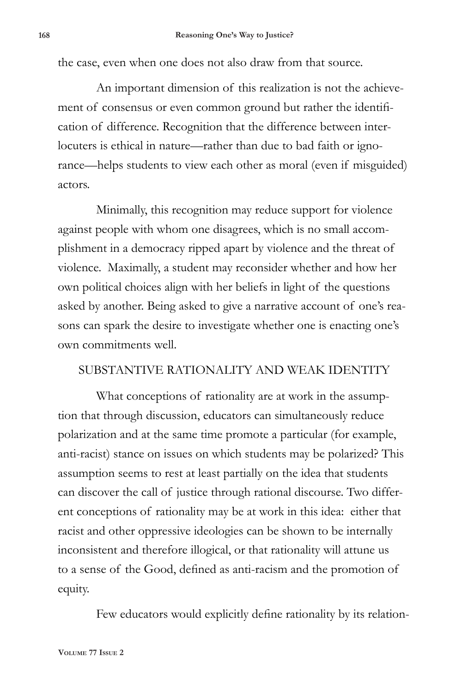the case, even when one does not also draw from that source.

An important dimension of this realization is not the achievement of consensus or even common ground but rather the identification of difference. Recognition that the difference between interlocuters is ethical in nature—rather than due to bad faith or ignorance—helps students to view each other as moral (even if misguided) actors.

Minimally, this recognition may reduce support for violence against people with whom one disagrees, which is no small accomplishment in a democracy ripped apart by violence and the threat of violence. Maximally, a student may reconsider whether and how her own political choices align with her beliefs in light of the questions asked by another. Being asked to give a narrative account of one's reasons can spark the desire to investigate whether one is enacting one's own commitments well.

## SUBSTANTIVE RATIONALITY AND WEAK IDENTITY

What conceptions of rationality are at work in the assumption that through discussion, educators can simultaneously reduce polarization and at the same time promote a particular (for example, anti-racist) stance on issues on which students may be polarized? This assumption seems to rest at least partially on the idea that students can discover the call of justice through rational discourse. Two different conceptions of rationality may be at work in this idea: either that racist and other oppressive ideologies can be shown to be internally inconsistent and therefore illogical, or that rationality will attune us to a sense of the Good, defined as anti-racism and the promotion of equity.

Few educators would explicitly define rationality by its relation-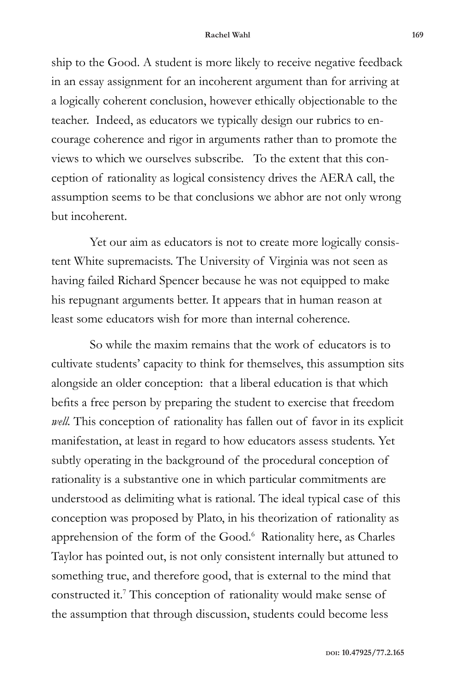ship to the Good. A student is more likely to receive negative feedback in an essay assignment for an incoherent argument than for arriving at a logically coherent conclusion, however ethically objectionable to the teacher. Indeed, as educators we typically design our rubrics to encourage coherence and rigor in arguments rather than to promote the views to which we ourselves subscribe. To the extent that this conception of rationality as logical consistency drives the AERA call, the assumption seems to be that conclusions we abhor are not only wrong but incoherent.

Yet our aim as educators is not to create more logically consistent White supremacists. The University of Virginia was not seen as having failed Richard Spencer because he was not equipped to make his repugnant arguments better. It appears that in human reason at least some educators wish for more than internal coherence.

So while the maxim remains that the work of educators is to cultivate students' capacity to think for themselves, this assumption sits alongside an older conception: that a liberal education is that which befits a free person by preparing the student to exercise that freedom *well.* This conception of rationality has fallen out of favor in its explicit manifestation, at least in regard to how educators assess students. Yet subtly operating in the background of the procedural conception of rationality is a substantive one in which particular commitments are understood as delimiting what is rational. The ideal typical case of this conception was proposed by Plato, in his theorization of rationality as apprehension of the form of the Good.<sup>6</sup> Rationality here, as Charles Taylor has pointed out, is not only consistent internally but attuned to something true, and therefore good, that is external to the mind that constructed it.7 This conception of rationality would make sense of the assumption that through discussion, students could become less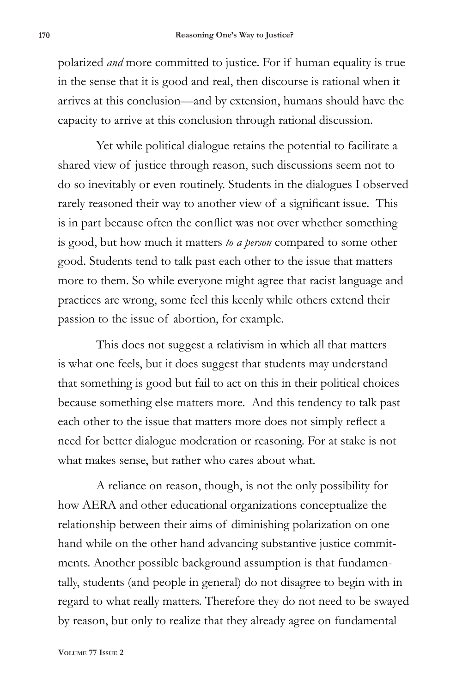polarized *and* more committed to justice. For if human equality is true in the sense that it is good and real, then discourse is rational when it arrives at this conclusion—and by extension, humans should have the capacity to arrive at this conclusion through rational discussion.

Yet while political dialogue retains the potential to facilitate a shared view of justice through reason, such discussions seem not to do so inevitably or even routinely. Students in the dialogues I observed rarely reasoned their way to another view of a significant issue. This is in part because often the conflict was not over whether something is good, but how much it matters *to a person* compared to some other good. Students tend to talk past each other to the issue that matters more to them. So while everyone might agree that racist language and practices are wrong, some feel this keenly while others extend their passion to the issue of abortion, for example.

This does not suggest a relativism in which all that matters is what one feels, but it does suggest that students may understand that something is good but fail to act on this in their political choices because something else matters more. And this tendency to talk past each other to the issue that matters more does not simply reflect a need for better dialogue moderation or reasoning. For at stake is not what makes sense, but rather who cares about what.

A reliance on reason, though, is not the only possibility for how AERA and other educational organizations conceptualize the relationship between their aims of diminishing polarization on one hand while on the other hand advancing substantive justice commitments. Another possible background assumption is that fundamentally, students (and people in general) do not disagree to begin with in regard to what really matters. Therefore they do not need to be swayed by reason, but only to realize that they already agree on fundamental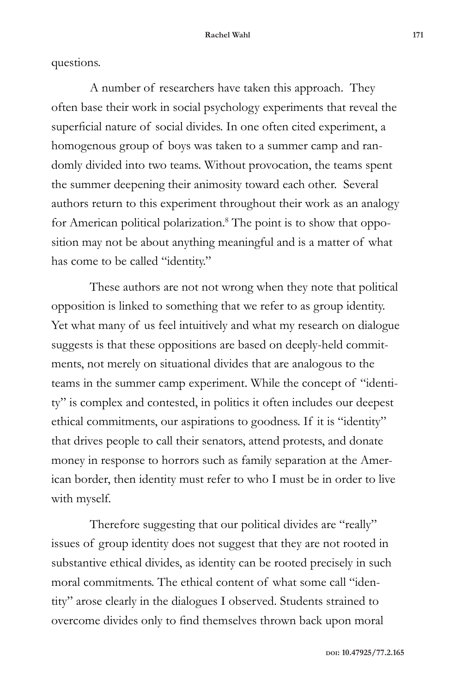questions.

A number of researchers have taken this approach. They often base their work in social psychology experiments that reveal the superficial nature of social divides. In one often cited experiment, a homogenous group of boys was taken to a summer camp and randomly divided into two teams. Without provocation, the teams spent the summer deepening their animosity toward each other. Several authors return to this experiment throughout their work as an analogy for American political polarization.<sup>8</sup> The point is to show that opposition may not be about anything meaningful and is a matter of what has come to be called "identity."

These authors are not not wrong when they note that political opposition is linked to something that we refer to as group identity. Yet what many of us feel intuitively and what my research on dialogue suggests is that these oppositions are based on deeply-held commitments, not merely on situational divides that are analogous to the teams in the summer camp experiment. While the concept of "identity" is complex and contested, in politics it often includes our deepest ethical commitments, our aspirations to goodness. If it is "identity" that drives people to call their senators, attend protests, and donate money in response to horrors such as family separation at the American border, then identity must refer to who I must be in order to live with myself.

Therefore suggesting that our political divides are "really" issues of group identity does not suggest that they are not rooted in substantive ethical divides, as identity can be rooted precisely in such moral commitments. The ethical content of what some call "identity" arose clearly in the dialogues I observed. Students strained to overcome divides only to find themselves thrown back upon moral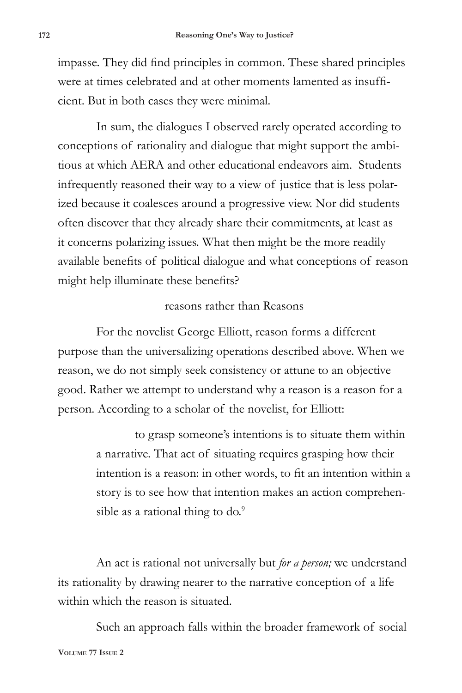impasse. They did find principles in common. These shared principles were at times celebrated and at other moments lamented as insufficient. But in both cases they were minimal.

In sum, the dialogues I observed rarely operated according to conceptions of rationality and dialogue that might support the ambitious at which AERA and other educational endeavors aim. Students infrequently reasoned their way to a view of justice that is less polarized because it coalesces around a progressive view. Nor did students often discover that they already share their commitments, at least as it concerns polarizing issues. What then might be the more readily available benefits of political dialogue and what conceptions of reason might help illuminate these benefits?

## reasons rather than Reasons

For the novelist George Elliott, reason forms a different purpose than the universalizing operations described above. When we reason, we do not simply seek consistency or attune to an objective good. Rather we attempt to understand why a reason is a reason for a person. According to a scholar of the novelist, for Elliott:

> to grasp someone's intentions is to situate them within a narrative. That act of situating requires grasping how their intention is a reason: in other words, to fit an intention within a story is to see how that intention makes an action comprehensible as a rational thing to  $do<sup>9</sup>$ .

An act is rational not universally but *for a person;* we understand its rationality by drawing nearer to the narrative conception of a life within which the reason is situated.

**Volume 77 Issue 2** Such an approach falls within the broader framework of social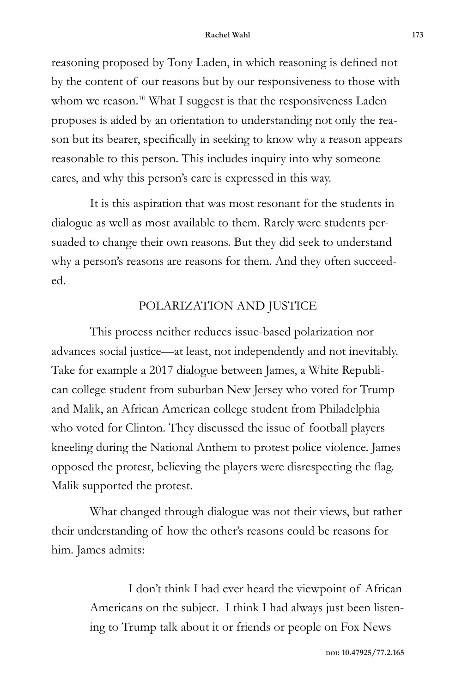reasoning proposed by Tony Laden, in which reasoning is defined not by the content of our reasons but by our responsiveness to those with whom we reason.<sup>10</sup> What I suggest is that the responsiveness Laden proposes is aided by an orientation to understanding not only the reason but its bearer, specifically in seeking to know why a reason appears reasonable to this person. This includes inquiry into why someone cares, and why this person's care is expressed in this way.

It is this aspiration that was most resonant for the students in dialogue as well as most available to them. Rarely were students persuaded to change their own reasons. But they did seek to understand why a person's reasons are reasons for them. And they often succeeded.

## POLARIZATION AND JUSTICE

This process neither reduces issue-based polarization nor advances social justice—at least, not independently and not inevitably. Take for example a 2017 dialogue between James, a White Republican college student from suburban New Jersey who voted for Trump and Malik, an African American college student from Philadelphia who voted for Clinton. They discussed the issue of football players kneeling during the National Anthem to protest police violence. James opposed the protest, believing the players were disrespecting the flag. Malik supported the protest.

What changed through dialogue was not their views, but rather their understanding of how the other's reasons could be reasons for him. James admits:

> I don't think I had ever heard the viewpoint of African Americans on the subject. I think I had always just been listening to Trump talk about it or friends or people on Fox News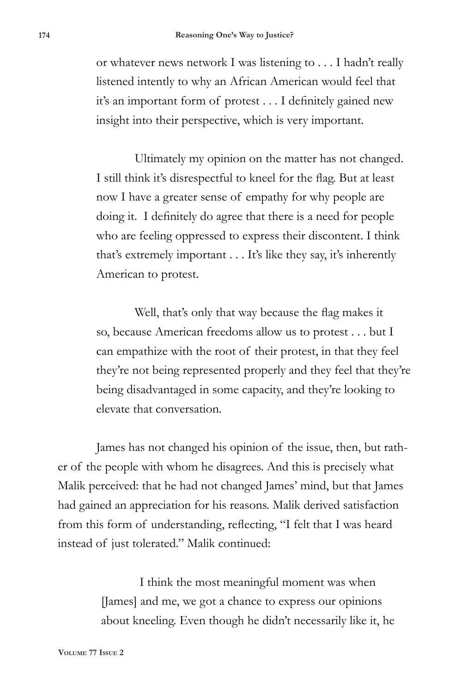or whatever news network I was listening to . . . I hadn't really listened intently to why an African American would feel that it's an important form of protest . . . I definitely gained new insight into their perspective, which is very important.

Ultimately my opinion on the matter has not changed. I still think it's disrespectful to kneel for the flag. But at least now I have a greater sense of empathy for why people are doing it. I definitely do agree that there is a need for people who are feeling oppressed to express their discontent. I think that's extremely important . . . It's like they say, it's inherently American to protest.

Well, that's only that way because the flag makes it so, because American freedoms allow us to protest . . . but I can empathize with the root of their protest, in that they feel they're not being represented properly and they feel that they're being disadvantaged in some capacity, and they're looking to elevate that conversation.

James has not changed his opinion of the issue, then, but rather of the people with whom he disagrees. And this is precisely what Malik perceived: that he had not changed James' mind, but that James had gained an appreciation for his reasons. Malik derived satisfaction from this form of understanding, reflecting, "I felt that I was heard instead of just tolerated." Malik continued:

> I think the most meaningful moment was when [James] and me, we got a chance to express our opinions about kneeling. Even though he didn't necessarily like it, he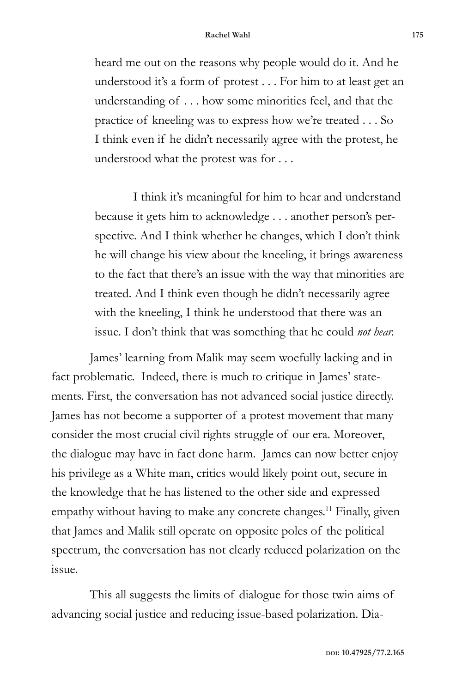heard me out on the reasons why people would do it. And he understood it's a form of protest . . . For him to at least get an understanding of . . . how some minorities feel, and that the practice of kneeling was to express how we're treated . . . So I think even if he didn't necessarily agree with the protest, he understood what the protest was for . . .

I think it's meaningful for him to hear and understand because it gets him to acknowledge . . . another person's perspective. And I think whether he changes, which I don't think he will change his view about the kneeling, it brings awareness to the fact that there's an issue with the way that minorities are treated. And I think even though he didn't necessarily agree with the kneeling, I think he understood that there was an issue. I don't think that was something that he could *not hear.*

James' learning from Malik may seem woefully lacking and in fact problematic. Indeed, there is much to critique in James' statements. First, the conversation has not advanced social justice directly. James has not become a supporter of a protest movement that many consider the most crucial civil rights struggle of our era. Moreover, the dialogue may have in fact done harm. James can now better enjoy his privilege as a White man, critics would likely point out, secure in the knowledge that he has listened to the other side and expressed empathy without having to make any concrete changes.<sup>11</sup> Finally, given that James and Malik still operate on opposite poles of the political spectrum, the conversation has not clearly reduced polarization on the issue.

This all suggests the limits of dialogue for those twin aims of advancing social justice and reducing issue-based polarization. Dia-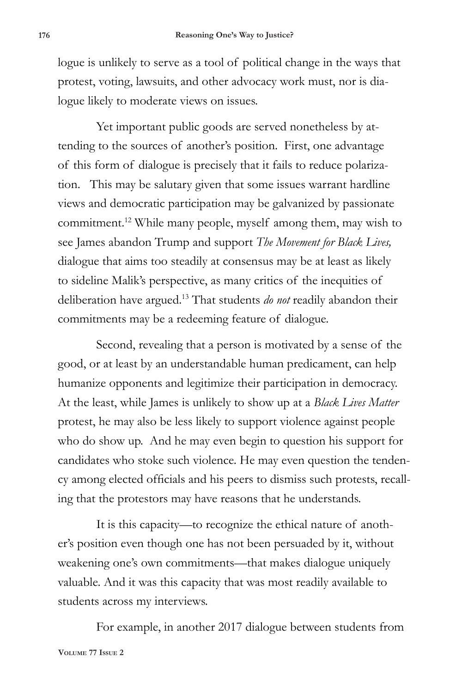logue is unlikely to serve as a tool of political change in the ways that protest, voting, lawsuits, and other advocacy work must, nor is dialogue likely to moderate views on issues.

Yet important public goods are served nonetheless by attending to the sources of another's position. First, one advantage of this form of dialogue is precisely that it fails to reduce polarization. This may be salutary given that some issues warrant hardline views and democratic participation may be galvanized by passionate commitment.12 While many people, myself among them, may wish to see James abandon Trump and support *The Movement for Black Lives,* dialogue that aims too steadily at consensus may be at least as likely to sideline Malik's perspective, as many critics of the inequities of deliberation have argued.13 That students *do not* readily abandon their commitments may be a redeeming feature of dialogue.

Second, revealing that a person is motivated by a sense of the good, or at least by an understandable human predicament, can help humanize opponents and legitimize their participation in democracy. At the least, while James is unlikely to show up at a *Black Lives Matter* protest, he may also be less likely to support violence against people who do show up. And he may even begin to question his support for candidates who stoke such violence. He may even question the tendency among elected officials and his peers to dismiss such protests, recalling that the protestors may have reasons that he understands.

It is this capacity—to recognize the ethical nature of another's position even though one has not been persuaded by it, without weakening one's own commitments—that makes dialogue uniquely valuable. And it was this capacity that was most readily available to students across my interviews.

**Volume 77 Issue 2** For example, in another 2017 dialogue between students from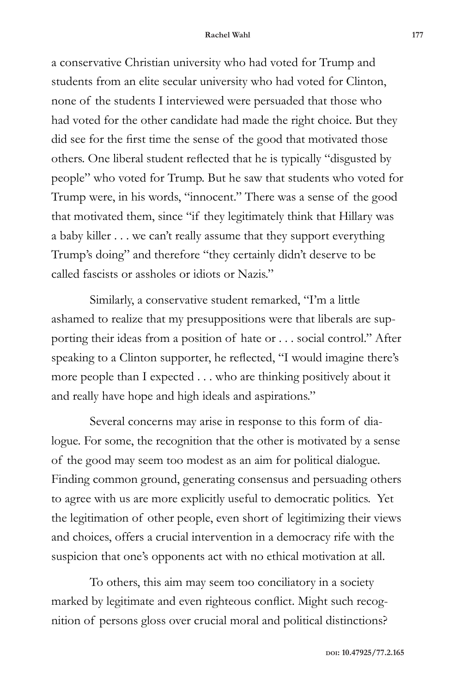a conservative Christian university who had voted for Trump and students from an elite secular university who had voted for Clinton, none of the students I interviewed were persuaded that those who had voted for the other candidate had made the right choice. But they did see for the first time the sense of the good that motivated those others. One liberal student reflected that he is typically "disgusted by people" who voted for Trump. But he saw that students who voted for Trump were, in his words, "innocent." There was a sense of the good that motivated them, since "if they legitimately think that Hillary was a baby killer . . . we can't really assume that they support everything Trump's doing" and therefore "they certainly didn't deserve to be called fascists or assholes or idiots or Nazis."

Similarly, a conservative student remarked, "I'm a little ashamed to realize that my presuppositions were that liberals are supporting their ideas from a position of hate or . . . social control." After speaking to a Clinton supporter, he reflected, "I would imagine there's more people than I expected . . . who are thinking positively about it and really have hope and high ideals and aspirations."

Several concerns may arise in response to this form of dialogue. For some, the recognition that the other is motivated by a sense of the good may seem too modest as an aim for political dialogue. Finding common ground, generating consensus and persuading others to agree with us are more explicitly useful to democratic politics. Yet the legitimation of other people, even short of legitimizing their views and choices, offers a crucial intervention in a democracy rife with the suspicion that one's opponents act with no ethical motivation at all.

To others, this aim may seem too conciliatory in a society marked by legitimate and even righteous conflict. Might such recognition of persons gloss over crucial moral and political distinctions?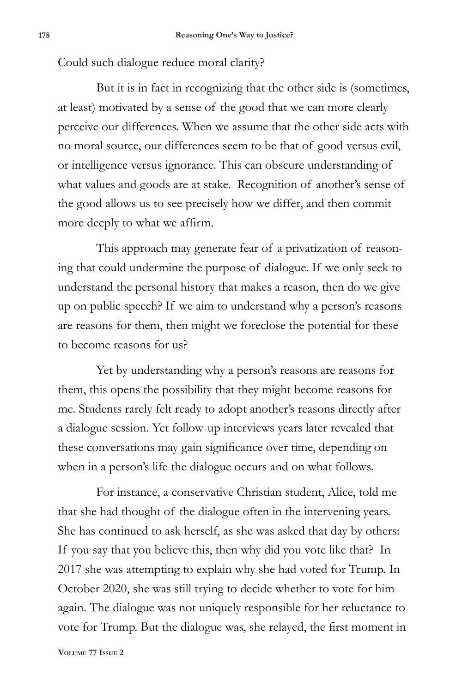Could such dialogue reduce moral clarity?

But it is in fact in recognizing that the other side is (sometimes, at least) motivated by a sense of the good that we can more clearly perceive our differences. When we assume that the other side acts with no moral source, our differences seem to be that of good versus evil, or intelligence versus ignorance. This can obscure understanding of what values and goods are at stake. Recognition of another's sense of the good allows us to see precisely how we differ, and then commit more deeply to what we affirm.

This approach may generate fear of a privatization of reasoning that could undermine the purpose of dialogue. If we only seek to understand the personal history that makes a reason, then do we give up on public speech? If we aim to understand why a person's reasons are reasons for them, then might we foreclose the potential for these to become reasons for us?

Yet by understanding why a person's reasons are reasons for them, this opens the possibility that they might become reasons for me. Students rarely felt ready to adopt another's reasons directly after a dialogue session. Yet follow-up interviews years later revealed that these conversations may gain significance over time, depending on when in a person's life the dialogue occurs and on what follows.

For instance, a conservative Christian student, Alice, told me that she had thought of the dialogue often in the intervening years. She has continued to ask herself, as she was asked that day by others: If you say that you believe this, then why did you vote like that? In 2017 she was attempting to explain why she had voted for Trump. In October 2020, she was still trying to decide whether to vote for him again. The dialogue was not uniquely responsible for her reluctance to vote for Trump. But the dialogue was, she relayed, the first moment in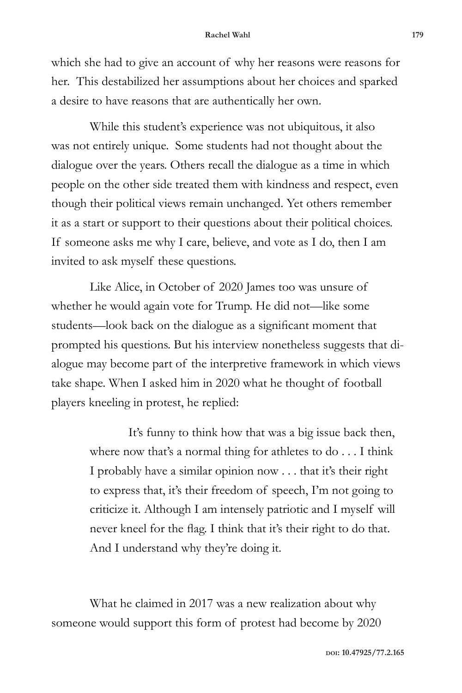which she had to give an account of why her reasons were reasons for her. This destabilized her assumptions about her choices and sparked a desire to have reasons that are authentically her own.

While this student's experience was not ubiquitous, it also was not entirely unique. Some students had not thought about the dialogue over the years. Others recall the dialogue as a time in which people on the other side treated them with kindness and respect, even though their political views remain unchanged. Yet others remember it as a start or support to their questions about their political choices. If someone asks me why I care, believe, and vote as I do, then I am invited to ask myself these questions.

Like Alice, in October of 2020 James too was unsure of whether he would again vote for Trump. He did not—like some students—look back on the dialogue as a significant moment that prompted his questions. But his interview nonetheless suggests that dialogue may become part of the interpretive framework in which views take shape. When I asked him in 2020 what he thought of football players kneeling in protest, he replied:

> It's funny to think how that was a big issue back then, where now that's a normal thing for athletes to do . . . I think I probably have a similar opinion now . . . that it's their right to express that, it's their freedom of speech, I'm not going to criticize it. Although I am intensely patriotic and I myself will never kneel for the flag. I think that it's their right to do that. And I understand why they're doing it.

What he claimed in 2017 was a new realization about why someone would support this form of protest had become by 2020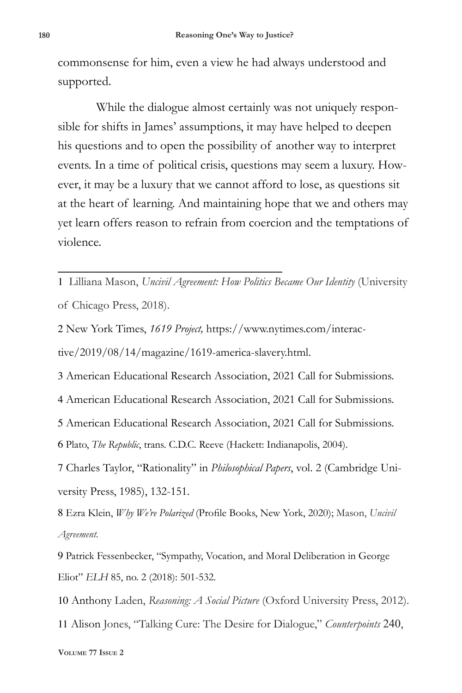commonsense for him, even a view he had always understood and supported.

While the dialogue almost certainly was not uniquely responsible for shifts in James' assumptions, it may have helped to deepen his questions and to open the possibility of another way to interpret events. In a time of political crisis, questions may seem a luxury. However, it may be a luxury that we cannot afford to lose, as questions sit at the heart of learning. And maintaining hope that we and others may yet learn offers reason to refrain from coercion and the temptations of violence.

1 Lilliana Mason, *Uncivil Agreement: How Politics Became Our Identity* (University of Chicago Press, 2018).

2 New York Times, *1619 Project,* https://www.nytimes.com/interactive/2019/08/14/magazine/1619-america-slavery.html.

3 American Educational Research Association, 2021 Call for Submissions.

4 American Educational Research Association, 2021 Call for Submissions.

5 American Educational Research Association, 2021 Call for Submissions.

6 Plato, *The Republic*, trans. C.D.C. Reeve (Hackett: Indianapolis, 2004).

7 Charles Taylor, "Rationality" in *Philosophical Papers*, vol. 2 (Cambridge University Press, 1985), 132-151.

8 Ezra Klein, *Why We're Polarized* (Profile Books, New York, 2020); Mason, *Uncivil Agreement.* 

9 Patrick Fessenbecker, "Sympathy, Vocation, and Moral Deliberation in George Eliot" *ELH* 85, no. 2 (2018): 501-532.

10 Anthony Laden, *Reasoning: A Social Picture* (Oxford University Press, 2012).

11 Alison Jones, "Talking Cure: The Desire for Dialogue," *Counterpoints* 240,